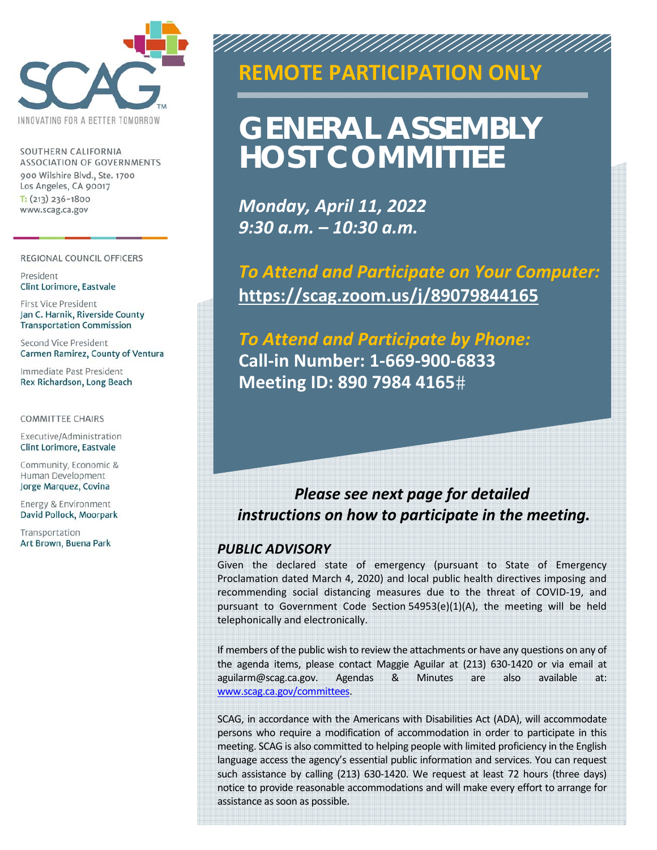

SOUTHERN CALIFORNIA **ASSOCIATION OF GOVERNMENTS** 900 Wilshire Blvd., Ste. 1700 Los Angeles, CA 90017  $T: (213)$  236-1800 www.scag.ca.gov

#### REGIONAL COUNCIL OFFICERS

President Clint Lorimore, Eastvale

First Vice President Jan C. Harnik, Riverside County **Transportation Commission** 

Second Vice President Carmen Ramirez, County of Ventura

Immediate Past President Rex Richardson, Long Beach

**COMMITTEE CHAIRS** 

Executive/Administration Clint Lorimore, Eastvale

Community, Economic & Human Development Jorge Marquez, Covina

Energy & Environment David Pollock, Moorpark

Transportation Art Brown, Buena Park

### **SPECIAL MEETING REMOTE PARTICIPATION ONLY**

AN AN AN AN AN AN AN AN

# **GENERAL ASSEMBLY HOST COMMITTEE**

*Monday, April 11, 2022 9:30 a.m. – 10:30 a.m.* 

*To Attend and Participate on Your Computer:*  **https://scag.zoom.us/j/89079844165** 

*To Attend and Participate by Phone:*  **Call‐in Number: 1‐669‐900‐6833 Meeting ID: 890 7984 4165**

### *Please see next page for detailed instructions on how to participate in the meeting.*

#### *PUBLIC ADVISORY*

Given the declared state of emergency (pursuant to State of Emergency Proclamation dated March 4, 2020) and local public health directives imposing and recommending social distancing measures due to the threat of COVID‐19, and pursuant to Government Code Section  $54953(e)(1)(A)$ , the meeting will be held telephonically and electronically.

If members of the public wish to review the attachments or have any questions on any of the agenda items, please contact Maggie Aguilar at (213) 630‐1420 or via email at aguilarm@scag.ca.gov. Agendas & Minutes are also available at: www.scag.ca.gov/committees.

SCAG, in accordance with the Americans with Disabilities Act (ADA), will accommodate persons who require a modification of accommodation in order to participate in this meeting. SCAG is also committed to helping people with limited proficiency in the English language access the agency's essential public information and services. You can request such assistance by calling (213) 630-1420. We request at least 72 hours (three days) notice to provide reasonable accommodations and will make every effort to arrange for assistance as soon as possible.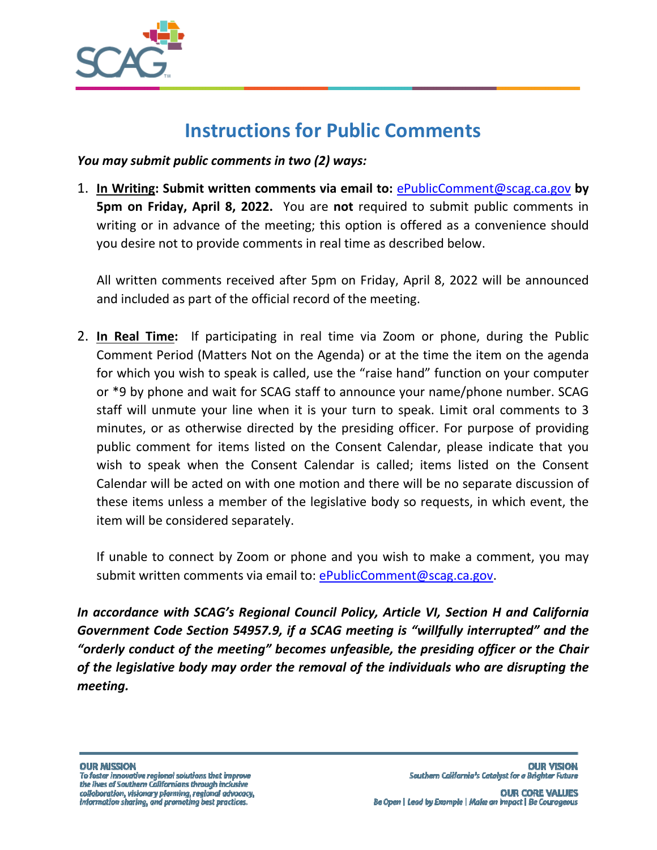

# **Instructions for Public Comments**

*You may submit public comments in two (2) ways:* 

1. **In Writing: Submit written comments via email to:** ePublicComment@scag.ca.gov **by 5pm on Friday, April 8, 2022.** You are not required to submit public comments in writing or in advance of the meeting; this option is offered as a convenience should you desire not to provide comments in real time as described below.

All written comments received after 5pm on Friday, April 8, 2022 will be announced and included as part of the official record of the meeting.

2. **In Real Time:** If participating in real time via Zoom or phone, during the Public Comment Period (Matters Not on the Agenda) or at the time the item on the agenda for which you wish to speak is called, use the "raise hand" function on your computer or \*9 by phone and wait for SCAG staff to announce your name/phone number. SCAG staff will unmute your line when it is your turn to speak. Limit oral comments to 3 minutes, or as otherwise directed by the presiding officer. For purpose of providing public comment for items listed on the Consent Calendar, please indicate that you wish to speak when the Consent Calendar is called; items listed on the Consent Calendar will be acted on with one motion and there will be no separate discussion of these items unless a member of the legislative body so requests, in which event, the item will be considered separately.

If unable to connect by Zoom or phone and you wish to make a comment, you may submit written comments via email to: ePublicComment@scag.ca.gov.

*In accordance with SCAG's Regional Council Policy, Article VI, Section H and California Government Code Section 54957.9, if a SCAG meeting is "willfully interrupted" and the "orderly conduct of the meeting" becomes unfeasible, the presiding officer or the Chair of the legislative body may order the removal of the individuals who are disrupting the meeting.*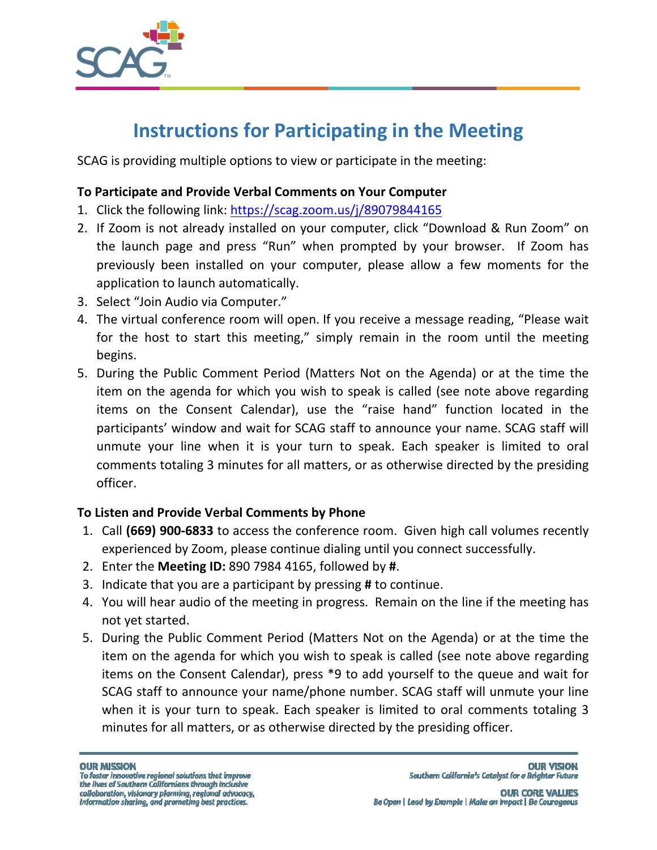

# **Instructions for Participating in the Meeting**

SCAG is providing multiple options to view or participate in the meeting:

#### **To Participate and Provide Verbal Comments on Your Computer**

- 1. Click the following link: https://scag.zoom.us/j/89079844165
- 2. If Zoom is not already installed on your computer, click "Download & Run Zoom" on the launch page and press "Run" when prompted by your browser. If Zoom has previously been installed on your computer, please allow a few moments for the application to launch automatically.
- 3. Select "Join Audio via Computer."
- 4. The virtual conference room will open. If you receive a message reading, "Please wait for the host to start this meeting," simply remain in the room until the meeting begins.
- 5. During the Public Comment Period (Matters Not on the Agenda) or at the time the item on the agenda for which you wish to speak is called (see note above regarding items on the Consent Calendar), use the "raise hand" function located in the participants' window and wait for SCAG staff to announce your name. SCAG staff will unmute your line when it is your turn to speak. Each speaker is limited to oral comments totaling 3 minutes for all matters, or as otherwise directed by the presiding officer.

#### **To Listen and Provide Verbal Comments by Phone**

- 1. Call **(669) 900‐6833** to access the conference room. Given high call volumes recently experienced by Zoom, please continue dialing until you connect successfully.
- 2. Enter the **Meeting ID:** 890 7984 4165, followed by **#**.
- 3. Indicate that you are a participant by pressing **#** to continue.
- 4. You will hear audio of the meeting in progress. Remain on the line if the meeting has not yet started.
- 5. During the Public Comment Period (Matters Not on the Agenda) or at the time the item on the agenda for which you wish to speak is called (see note above regarding items on the Consent Calendar), press \*9 to add yourself to the queue and wait for SCAG staff to announce your name/phone number. SCAG staff will unmute your line when it is your turn to speak. Each speaker is limited to oral comments totaling 3 minutes for all matters, or as otherwise directed by the presiding officer.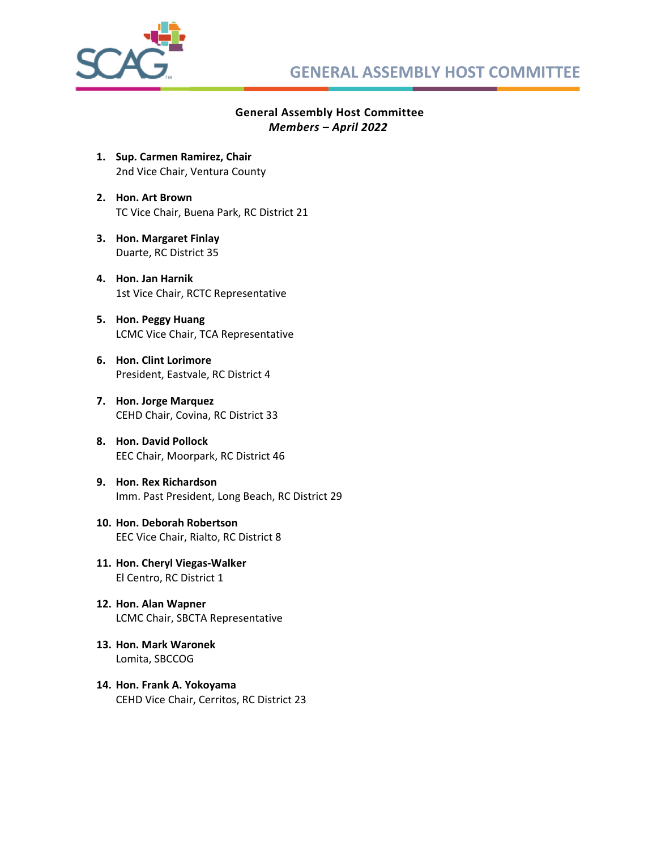

#### **General Assembly Host Committee**  *Members – April 2022*

- **1. Sup. Carmen Ramirez, Chair**  2nd Vice Chair, Ventura County
- **2. Hon. Art Brown**  TC Vice Chair, Buena Park, RC District 21
- **3. Hon. Margaret Finlay**  Duarte, RC District 35
- **4. Hon. Jan Harnik**  1st Vice Chair, RCTC Representative
- **5. Hon. Peggy Huang**  LCMC Vice Chair, TCA Representative
- **6. Hon. Clint Lorimore**  President, Eastvale, RC District 4
- **7. Hon. Jorge Marquez**  CEHD Chair, Covina, RC District 33
- **8. Hon. David Pollock**  EEC Chair, Moorpark, RC District 46
- **9. Hon. Rex Richardson**  Imm. Past President, Long Beach, RC District 29
- **10. Hon. Deborah Robertson**  EEC Vice Chair, Rialto, RC District 8
- **11. Hon. Cheryl Viegas‐Walker**  El Centro, RC District 1
- **12. Hon. Alan Wapner**  LCMC Chair, SBCTA Representative
- **13. Hon. Mark Waronek**  Lomita, SBCCOG
- **14. Hon. Frank A. Yokoyama**  CEHD Vice Chair, Cerritos, RC District 23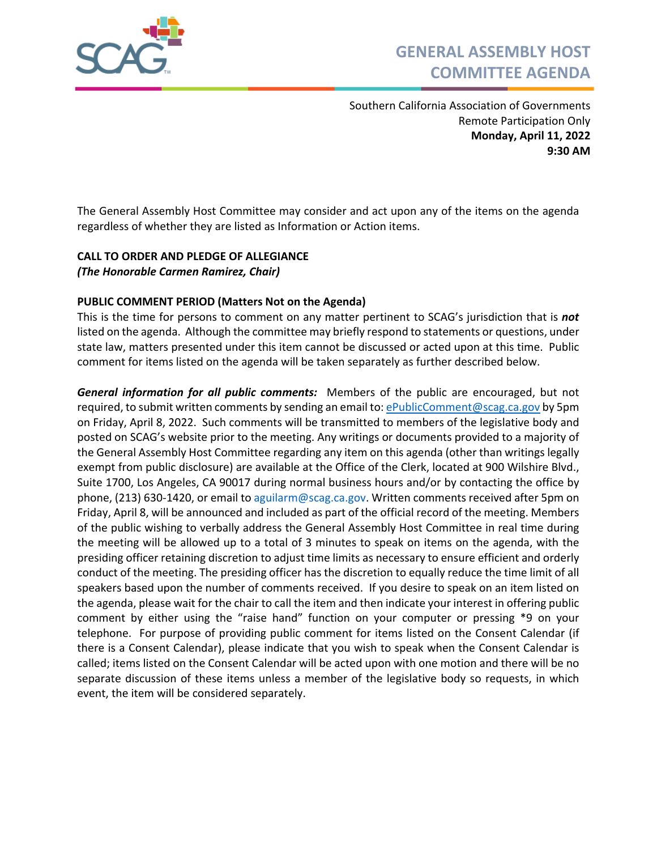

Southern California Association of Governments Remote Participation Only **Monday, April 11, 2022 9:30 AM**

The General Assembly Host Committee may consider and act upon any of the items on the agenda regardless of whether they are listed as Information or Action items.

#### **CALL TO ORDER AND PLEDGE OF ALLEGIANCE**  *(The Honorable Carmen Ramirez, Chair)*

#### **PUBLIC COMMENT PERIOD (Matters Not on the Agenda)**

This is the time for persons to comment on any matter pertinent to SCAG's jurisdiction that is *not* listed on the agenda. Although the committee may briefly respond to statements or questions, under state law, matters presented under this item cannot be discussed or acted upon at this time. Public comment for items listed on the agenda will be taken separately as further described below.

**General information for all public comments:** Members of the public are encouraged, but not required, to submit written comments by sending an email to: ePublicComment@scag.ca.gov by 5pm on Friday, April 8, 2022. Such comments will be transmitted to members of the legislative body and posted on SCAG's website prior to the meeting. Any writings or documents provided to a majority of the General Assembly Host Committee regarding any item on this agenda (other than writings legally exempt from public disclosure) are available at the Office of the Clerk, located at 900 Wilshire Blvd., Suite 1700, Los Angeles, CA 90017 during normal business hours and/or by contacting the office by phone, (213) 630‐1420, or email to aguilarm@scag.ca.gov. Written comments received after 5pm on Friday, April 8, will be announced and included as part of the official record of the meeting. Members of the public wishing to verbally address the General Assembly Host Committee in real time during the meeting will be allowed up to a total of 3 minutes to speak on items on the agenda, with the presiding officer retaining discretion to adjust time limits as necessary to ensure efficient and orderly conduct of the meeting. The presiding officer has the discretion to equally reduce the time limit of all speakers based upon the number of comments received. If you desire to speak on an item listed on the agenda, please wait for the chair to call the item and then indicate your interest in offering public comment by either using the "raise hand" function on your computer or pressing \*9 on your telephone. For purpose of providing public comment for items listed on the Consent Calendar (if there is a Consent Calendar), please indicate that you wish to speak when the Consent Calendar is called; items listed on the Consent Calendar will be acted upon with one motion and there will be no separate discussion of these items unless a member of the legislative body so requests, in which event, the item will be considered separately.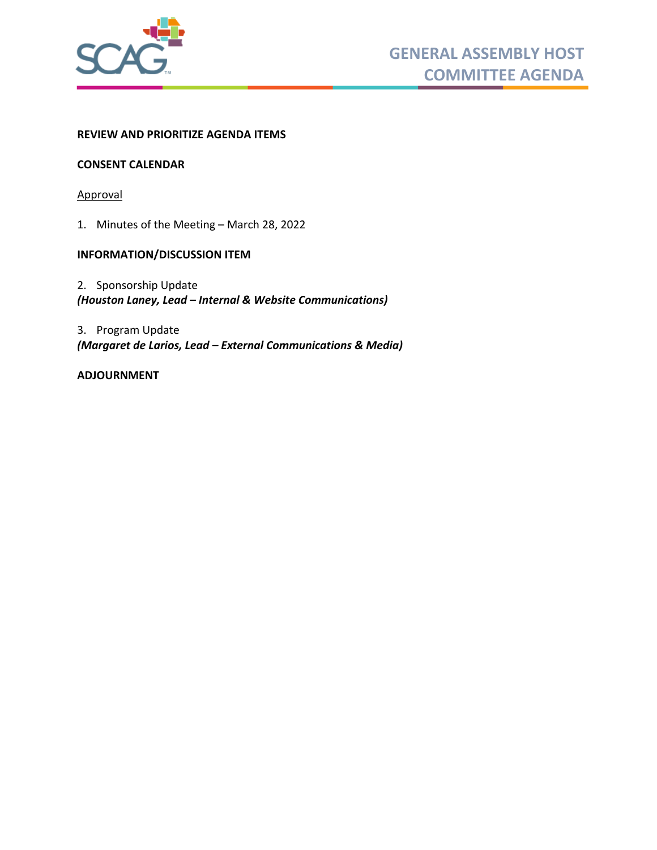

#### **REVIEW AND PRIORITIZE AGENDA ITEMS**

#### **CONSENT CALENDAR**

Approval

1. [Minutes of the Meeting – March 28, 2022](#page-6-0)

#### **INFORMATION/DISCUSSION ITEM**

2. Sponsorship Update *(Houston Laney, Lead – Internal & Website Communications)* 

3. Program Update *(Margaret de Larios, Lead – External Communications & Media)* 

#### **ADJOURNMENT**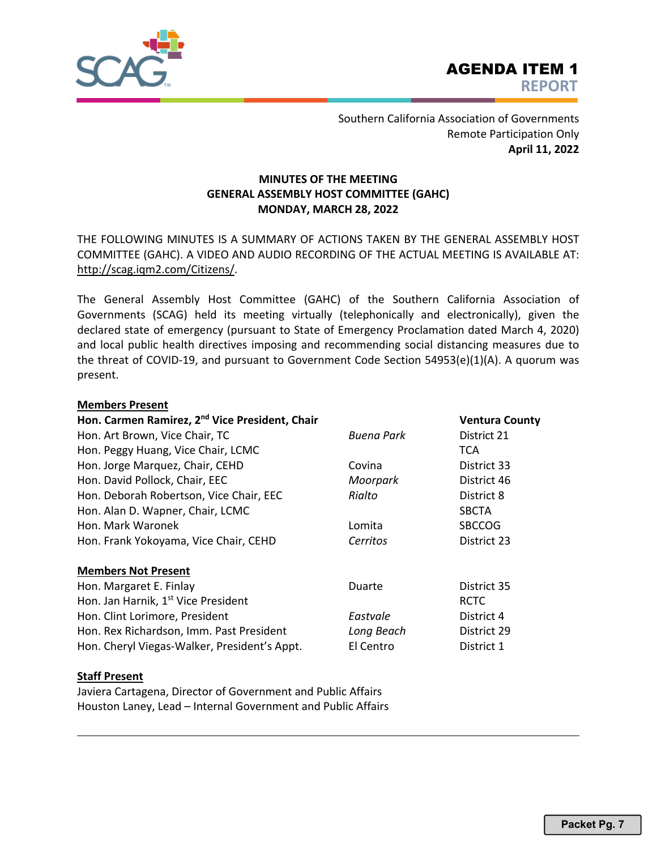<span id="page-6-0"></span>

Southern California Association of Governments Remote Participation Only **April 11, 2022**

#### **MINUTES OF THE MEETING GENERAL ASSEMBLY HOST COMMITTEE (GAHC) MONDAY, MARCH 28, 2022**

THE FOLLOWING MINUTES IS A SUMMARY OF ACTIONS TAKEN BY THE GENERAL ASSEMBLY HOST COMMITTEE (GAHC). A VIDEO AND AUDIO RECORDING OF THE ACTUAL MEETING IS AVAILABLE AT: http://scag.iqm2.com/Citizens/.

The General Assembly Host Committee (GAHC) of the Southern California Association of Governments (SCAG) held its meeting virtually (telephonically and electronically), given the declared state of emergency (pursuant to State of Emergency Proclamation dated March 4, 2020) and local public health directives imposing and recommending social distancing measures due to the threat of COVID-19, and pursuant to Government Code Section 54953(e)(1)(A). A quorum was present.

#### **Members Present**

| Hon. Carmen Ramirez, 2 <sup>nd</sup> Vice President, Chair |                   | <b>Ventura County</b> |
|------------------------------------------------------------|-------------------|-----------------------|
| Hon. Art Brown, Vice Chair, TC                             | <b>Buena Park</b> | District 21           |
| Hon. Peggy Huang, Vice Chair, LCMC                         |                   | <b>TCA</b>            |
| Hon. Jorge Marquez, Chair, CEHD                            | Covina            | District 33           |
| Hon. David Pollock, Chair, EEC                             | Moorpark          | District 46           |
| Hon. Deborah Robertson, Vice Chair, EEC                    | Rialto            | District 8            |
| Hon. Alan D. Wapner, Chair, LCMC                           |                   | <b>SBCTA</b>          |
| Hon. Mark Waronek                                          | Lomita            | <b>SBCCOG</b>         |
| Hon. Frank Yokoyama, Vice Chair, CEHD                      | Cerritos          | District 23           |
| <b>Members Not Present</b>                                 |                   |                       |
| Hon. Margaret E. Finlay                                    | <b>Duarte</b>     | District 35           |
| Hon. Jan Harnik, 1 <sup>st</sup> Vice President            |                   | <b>RCTC</b>           |
| Hon. Clint Lorimore, President                             | Eastvale          | District 4            |
| Hon. Rex Richardson, Imm. Past President                   | Long Beach        | District 29           |
| Hon. Cheryl Viegas-Walker, President's Appt.               | El Centro         | District 1            |

#### **Staff Present**

Javiera Cartagena, Director of Government and Public Affairs Houston Laney, Lead – Internal Government and Public Affairs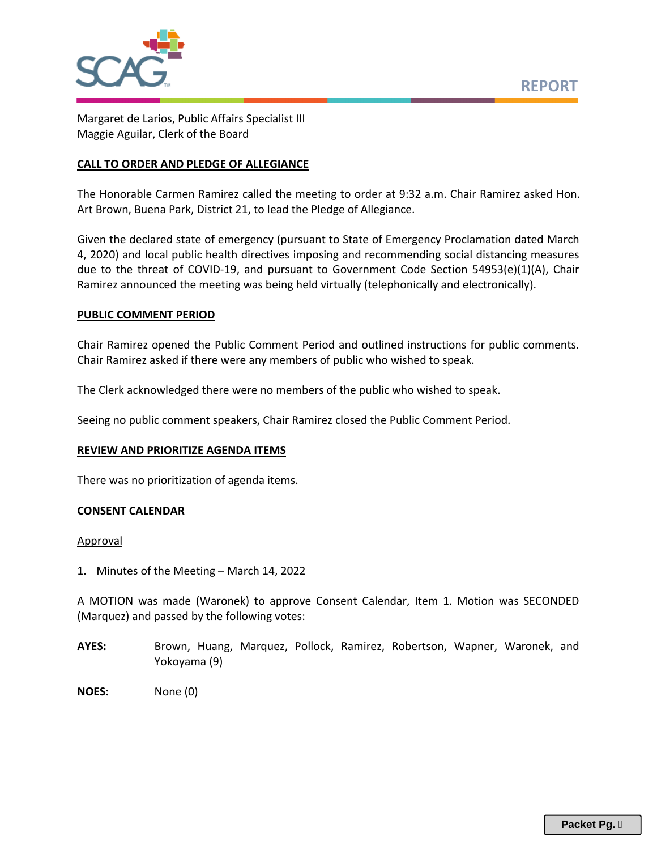

Margaret de Larios, Public Affairs Specialist III Maggie Aguilar, Clerk of the Board

#### **CALL TO ORDER AND PLEDGE OF ALLEGIANCE**

The Honorable Carmen Ramirez called the meeting to order at 9:32 a.m. Chair Ramirez asked Hon. Art Brown, Buena Park, District 21, to lead the Pledge of Allegiance.

Given the declared state of emergency (pursuant to State of Emergency Proclamation dated March 4, 2020) and local public health directives imposing and recommending social distancing measures due to the threat of COVID-19, and pursuant to Government Code Section 54953(e)(1)(A), Chair Ramirez announced the meeting was being held virtually (telephonically and electronically).

#### **PUBLIC COMMENT PERIOD**

Chair Ramirez opened the Public Comment Period and outlined instructions for public comments. Chair Ramirez asked if there were any members of public who wished to speak.

The Clerk acknowledged there were no members of the public who wished to speak.

Seeing no public comment speakers, Chair Ramirez closed the Public Comment Period.

#### **REVIEW AND PRIORITIZE AGENDA ITEMS**

There was no prioritization of agenda items.

#### **CONSENT CALENDAR**

#### Approval

1. Minutes of the Meeting – March 14, 2022

A MOTION was made (Waronek) to approve Consent Calendar, Item 1. Motion was SECONDED (Marquez) and passed by the following votes:

- AYES: Brown, Huang, Marquez, Pollock, Ramirez, Robertson, Wapner, Waronek, and Yokoyama (9)
- **NOES:**  None (0)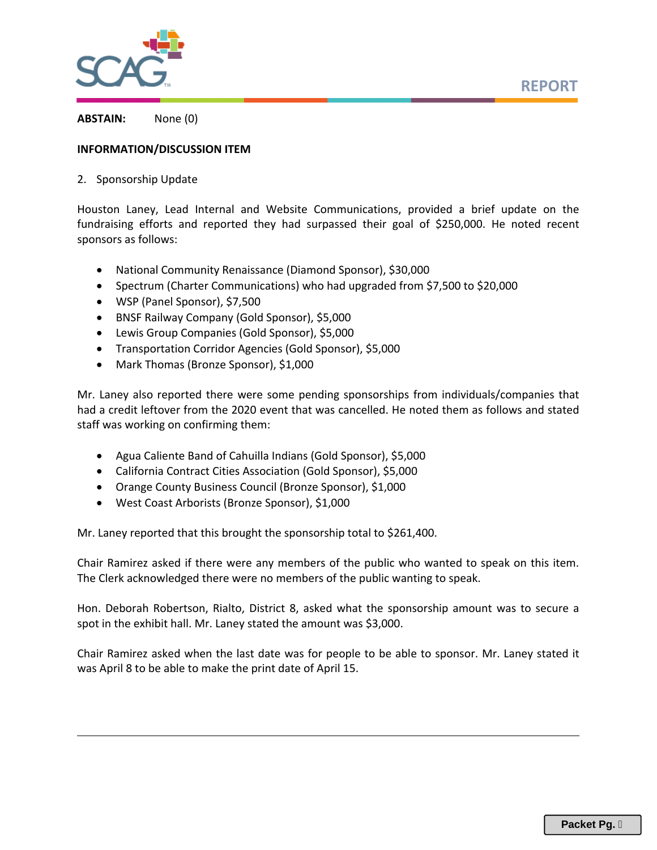



**ABSTAIN:**  None (0)

#### **INFORMATION/DISCUSSION ITEM**

2. Sponsorship Update

Houston Laney, Lead Internal and Website Communications, provided a brief update on the fundraising efforts and reported they had surpassed their goal of \$250,000. He noted recent sponsors as follows:

- National Community Renaissance (Diamond Sponsor), \$30,000
- Spectrum (Charter Communications) who had upgraded from \$7,500 to \$20,000
- WSP (Panel Sponsor), \$7,500
- BNSF Railway Company (Gold Sponsor), \$5,000
- Lewis Group Companies (Gold Sponsor), \$5,000
- Transportation Corridor Agencies (Gold Sponsor), \$5,000
- Mark Thomas (Bronze Sponsor), \$1,000

Mr. Laney also reported there were some pending sponsorships from individuals/companies that had a credit leftover from the 2020 event that was cancelled. He noted them as follows and stated staff was working on confirming them:

- Agua Caliente Band of Cahuilla Indians (Gold Sponsor), \$5,000
- California Contract Cities Association (Gold Sponsor), \$5,000
- Orange County Business Council (Bronze Sponsor), \$1,000
- West Coast Arborists (Bronze Sponsor), \$1,000

Mr. Laney reported that this brought the sponsorship total to \$261,400.

Chair Ramirez asked if there were any members of the public who wanted to speak on this item. The Clerk acknowledged there were no members of the public wanting to speak.

Hon. Deborah Robertson, Rialto, District 8, asked what the sponsorship amount was to secure a spot in the exhibit hall. Mr. Laney stated the amount was \$3,000.

Chair Ramirez asked when the last date was for people to be able to sponsor. Mr. Laney stated it was April 8 to be able to make the print date of April 15.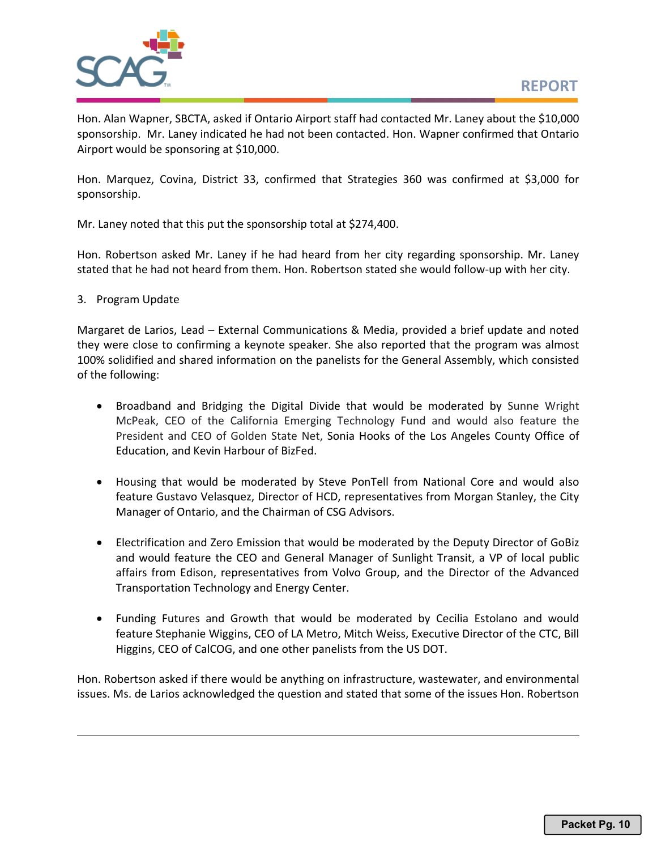

Hon. Alan Wapner, SBCTA, asked if Ontario Airport staff had contacted Mr. Laney about the \$10,000 sponsorship. Mr. Laney indicated he had not been contacted. Hon. Wapner confirmed that Ontario Airport would be sponsoring at \$10,000.

Hon. Marquez, Covina, District 33, confirmed that Strategies 360 was confirmed at \$3,000 for sponsorship.

Mr. Laney noted that this put the sponsorship total at \$274,400.

Hon. Robertson asked Mr. Laney if he had heard from her city regarding sponsorship. Mr. Laney stated that he had not heard from them. Hon. Robertson stated she would follow‐up with her city.

#### 3. Program Update

Margaret de Larios, Lead – External Communications & Media, provided a brief update and noted they were close to confirming a keynote speaker. She also reported that the program was almost 100% solidified and shared information on the panelists for the General Assembly, which consisted of the following:

- Broadband and Bridging the Digital Divide that would be moderated by Sunne Wright McPeak, CEO of the California Emerging Technology Fund and would also feature the President and CEO of Golden State Net, Sonia Hooks of the Los Angeles County Office of Education, and Kevin Harbour of BizFed.
- Housing that would be moderated by Steve PonTell from National Core and would also feature Gustavo Velasquez, Director of HCD, representatives from Morgan Stanley, the City Manager of Ontario, and the Chairman of CSG Advisors.
- Electrification and Zero Emission that would be moderated by the Deputy Director of GoBiz and would feature the CEO and General Manager of Sunlight Transit, a VP of local public affairs from Edison, representatives from Volvo Group, and the Director of the Advanced Transportation Technology and Energy Center.
- Funding Futures and Growth that would be moderated by Cecilia Estolano and would feature Stephanie Wiggins, CEO of LA Metro, Mitch Weiss, Executive Director of the CTC, Bill Higgins, CEO of CalCOG, and one other panelists from the US DOT.

Hon. Robertson asked if there would be anything on infrastructure, wastewater, and environmental issues. Ms. de Larios acknowledged the question and stated that some of the issues Hon. Robertson